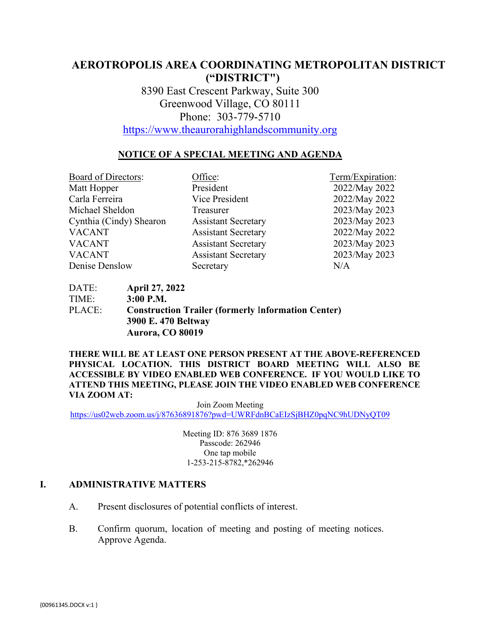# **AEROTROPOLIS AREA COORDINATING METROPOLITAN DISTRICT ("DISTRICT")**

8390 East Crescent Parkway, Suite 300 Greenwood Village, CO 80111 Phone: 303-779-5710

[https://www.theaurorahighlandscommunity.org](https://www.theaurorahighlandscommunity.org/)

## **NOTICE OF A SPECIAL MEETING AND AGENDA**

Board of Directors: Office: Term/Expiration: Matt Hopper President President 2022/May 2022 Carla Ferreira Vice President 2022/May 2022 Michael Sheldon Treasurer 2023/May 2023 Cynthia (Cindy) Shearon Assistant Secretary 2023/May 2023 VACANT Assistant Secretary 2022/May 2022 VACANT Assistant Secretary 2023/May 2023 VACANT Assistant Secretary 2023/May 2023 Denise Denslow Secretary N/A

DATE: **April 27, 2022** TIME: **3:00 P.M.** PLACE: **Construction Trailer (formerly** I**nformation Center) 3900 E. 470 Beltway Aurora, CO 80019**

**THERE WILL BE AT LEAST ONE PERSON PRESENT AT THE ABOVE-REFERENCED PHYSICAL LOCATION. THIS DISTRICT BOARD MEETING WILL ALSO BE ACCESSIBLE BY VIDEO ENABLED WEB CONFERENCE. IF YOU WOULD LIKE TO ATTEND THIS MEETING, PLEASE JOIN THE VIDEO ENABLED WEB CONFERENCE VIA ZOOM AT:**

Join Zoom Meeting <https://us02web.zoom.us/j/87636891876?pwd=UWRFdnBCaEIzSjBHZ0pqNC9hUDNyQT09>

> Meeting ID: 876 3689 1876 Passcode: 262946 One tap mobile 1-253-215-8782,\*262946

#### **I. ADMINISTRATIVE MATTERS**

- A. Present disclosures of potential conflicts of interest.
- B. Confirm quorum, location of meeting and posting of meeting notices. Approve Agenda.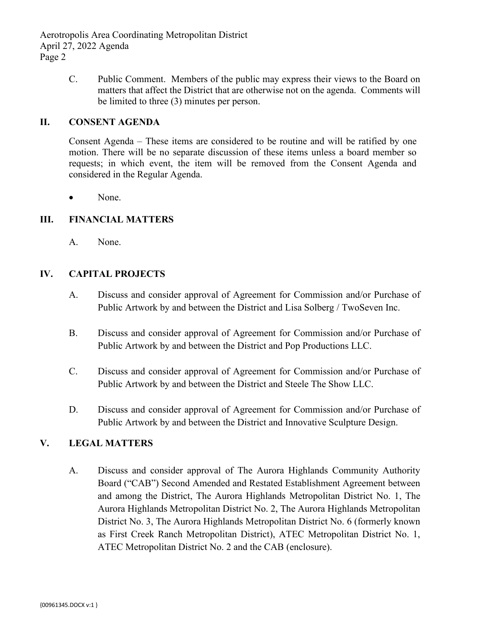Aerotropolis Area Coordinating Metropolitan District April 27, 2022 Agenda Page 2

> C. Public Comment. Members of the public may express their views to the Board on matters that affect the District that are otherwise not on the agenda. Comments will be limited to three (3) minutes per person.

## **II. CONSENT AGENDA**

Consent Agenda – These items are considered to be routine and will be ratified by one motion. There will be no separate discussion of these items unless a board member so requests; in which event, the item will be removed from the Consent Agenda and considered in the Regular Agenda.

None.

## **III. FINANCIAL MATTERS**

A. None.

#### **IV. CAPITAL PROJECTS**

- A. Discuss and consider approval of Agreement for Commission and/or Purchase of Public Artwork by and between the District and Lisa Solberg / TwoSeven Inc.
- B. Discuss and consider approval of Agreement for Commission and/or Purchase of Public Artwork by and between the District and Pop Productions LLC.
- C. Discuss and consider approval of Agreement for Commission and/or Purchase of Public Artwork by and between the District and Steele The Show LLC.
- D. Discuss and consider approval of Agreement for Commission and/or Purchase of Public Artwork by and between the District and Innovative Sculpture Design.

## **V. LEGAL MATTERS**

A. Discuss and consider approval of The Aurora Highlands Community Authority Board ("CAB") Second Amended and Restated Establishment Agreement between and among the District, The Aurora Highlands Metropolitan District No. 1, The Aurora Highlands Metropolitan District No. 2, The Aurora Highlands Metropolitan District No. 3, The Aurora Highlands Metropolitan District No. 6 (formerly known as First Creek Ranch Metropolitan District), ATEC Metropolitan District No. 1, ATEC Metropolitan District No. 2 and the CAB (enclosure).